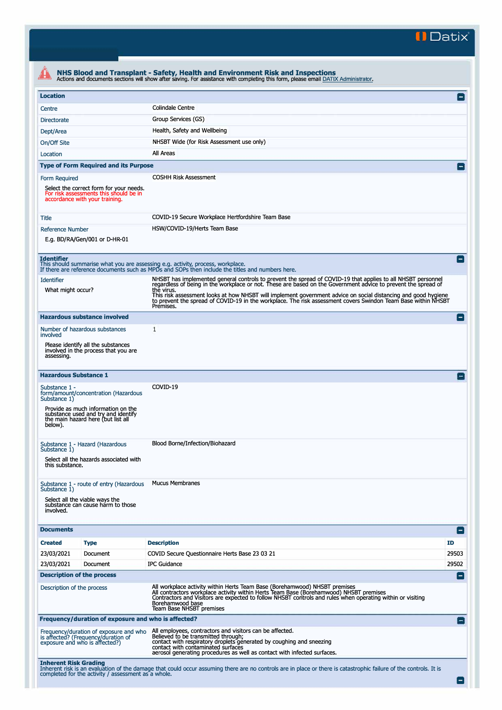**II Datix"** 

| <b>Location</b>                                                                          |                                                                                                                     |                                                                                                                                                                                                                                                                                                                                    |                 |  |  |  |
|------------------------------------------------------------------------------------------|---------------------------------------------------------------------------------------------------------------------|------------------------------------------------------------------------------------------------------------------------------------------------------------------------------------------------------------------------------------------------------------------------------------------------------------------------------------|-----------------|--|--|--|
| Centre                                                                                   |                                                                                                                     | <b>Colindale Centre</b>                                                                                                                                                                                                                                                                                                            |                 |  |  |  |
| <b>Directorate</b>                                                                       |                                                                                                                     | Group Services (GS)                                                                                                                                                                                                                                                                                                                |                 |  |  |  |
| Dept/Area                                                                                |                                                                                                                     | Health, Safety and Wellbeing                                                                                                                                                                                                                                                                                                       |                 |  |  |  |
| On/Off Site                                                                              |                                                                                                                     | NHSBT Wide (for Risk Assessment use only)                                                                                                                                                                                                                                                                                          |                 |  |  |  |
| Location                                                                                 |                                                                                                                     | All Areas                                                                                                                                                                                                                                                                                                                          |                 |  |  |  |
|                                                                                          | <b>Type of Form Required and its Purpose</b>                                                                        |                                                                                                                                                                                                                                                                                                                                    |                 |  |  |  |
| Form Required                                                                            |                                                                                                                     | <b>COSHH Risk Assessment</b>                                                                                                                                                                                                                                                                                                       |                 |  |  |  |
|                                                                                          | Select the correct form for your needs.<br>For risk assessments this should be in<br>accordance with your training. |                                                                                                                                                                                                                                                                                                                                    |                 |  |  |  |
| Title                                                                                    |                                                                                                                     | COVID-19 Secure Workplace Hertfordshire Team Base                                                                                                                                                                                                                                                                                  |                 |  |  |  |
| <b>Reference Number</b>                                                                  |                                                                                                                     | HSW/COVID-19/Herts Team Base                                                                                                                                                                                                                                                                                                       |                 |  |  |  |
|                                                                                          | E.g. BD/RA/Gen/001 or D-HR-01                                                                                       |                                                                                                                                                                                                                                                                                                                                    |                 |  |  |  |
| <b>Identifier</b>                                                                        |                                                                                                                     | This should summarise what you are assessing e.g. activity, process, workplace.<br>If there are reference documents such as MPDs and SOPs then include the titles and numbers here.                                                                                                                                                | $\blacksquare$  |  |  |  |
| <b>Identifier</b>                                                                        |                                                                                                                     | NHSBT has implemented general controls to prevent the spread of COVID-19 that applies to all NHSBT personnel<br>regardless of being in the workplace or not. These are based on the Government advice to prevent the spread of                                                                                                     |                 |  |  |  |
| What might occur?                                                                        |                                                                                                                     | the virus.<br>This risk assessment looks at how NHSBT will implement government advice on social distancing and good hygiene<br>to prevent the spread of COVID-19 in the workplace. The risk assessment covers Swindon Team Base within NHSBT<br>Premises.                                                                         |                 |  |  |  |
|                                                                                          | <b>Hazardous substance involved</b>                                                                                 |                                                                                                                                                                                                                                                                                                                                    | $\vert - \vert$ |  |  |  |
| involved                                                                                 | Number of hazardous substances                                                                                      | 1                                                                                                                                                                                                                                                                                                                                  |                 |  |  |  |
| Please identify all the substances<br>involved in the process that you are<br>assessing. |                                                                                                                     |                                                                                                                                                                                                                                                                                                                                    |                 |  |  |  |
| <b>Hazardous Substance 1</b>                                                             |                                                                                                                     |                                                                                                                                                                                                                                                                                                                                    |                 |  |  |  |
| Substance 1 -<br>form/amount/concentration (Hazardous<br>Substance 1)                    |                                                                                                                     | COVID-19                                                                                                                                                                                                                                                                                                                           |                 |  |  |  |
| below).                                                                                  | Provide as much information on the<br>substance used and try and identify<br>the main hazard here (but list all     |                                                                                                                                                                                                                                                                                                                                    |                 |  |  |  |
| Substance 1)                                                                             | Substance 1 - Hazard (Hazardous                                                                                     | Blood Borne/Infection/Biohazard                                                                                                                                                                                                                                                                                                    |                 |  |  |  |
| this substance.                                                                          | Select all the hazards associated with                                                                              |                                                                                                                                                                                                                                                                                                                                    |                 |  |  |  |
| Substance 1)                                                                             | Substance 1 - route of entry (Hazardous                                                                             | <b>Mucus Membranes</b>                                                                                                                                                                                                                                                                                                             |                 |  |  |  |
| involved.                                                                                | Select all the viable ways the<br>substance can cause harm to those                                                 |                                                                                                                                                                                                                                                                                                                                    |                 |  |  |  |
| <b>Documents</b>                                                                         |                                                                                                                     |                                                                                                                                                                                                                                                                                                                                    | Е               |  |  |  |
| <b>Created</b>                                                                           | <b>Type</b>                                                                                                         | <b>Description</b>                                                                                                                                                                                                                                                                                                                 | ID              |  |  |  |
| 23/03/2021                                                                               | Document                                                                                                            | COVID Secure Questionnaire Herts Base 23 03 21                                                                                                                                                                                                                                                                                     | 29503           |  |  |  |
| 23/03/2021                                                                               | Document                                                                                                            | <b>IPC Guidance</b>                                                                                                                                                                                                                                                                                                                | 29502           |  |  |  |
|                                                                                          | <b>Description of the process</b>                                                                                   |                                                                                                                                                                                                                                                                                                                                    | -1              |  |  |  |
| Description of the process                                                               |                                                                                                                     | All workplace activity within Herts Team Base (Borehamwood) NHSBT premises<br>All contractors workplace activity within Herts Team Base (Borehamwood) NHSBT premises<br>Contractors and Visitors are expected to follow NHSBT controls and rules when operating within or visiting<br>Borehamwood base<br>Team Base NHSBT premises |                 |  |  |  |
|                                                                                          | Frequency/duration of exposure and who is affected?                                                                 |                                                                                                                                                                                                                                                                                                                                    | $-1$            |  |  |  |
|                                                                                          | Frequency/duration of exposure and who<br>is affected? (Frequency/duration of<br>exposure and who is affected?)     | All employees, contractors and visitors can be affected.<br>Believed to be transmitted through;<br>contact with respiratory droplets generated by coughing and sneezing<br>contact with contaminated surfaces                                                                                                                      |                 |  |  |  |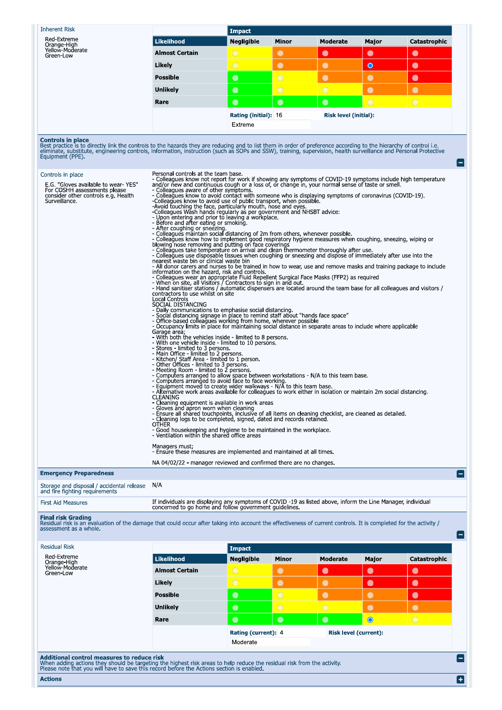**Inherent Risk** Impact Red-Extreme<br>Orange-High<br>Yellow-Moderate<br>Green-Low Likelihood **Negligible** Minor Moderate Major Catastrophic **Almost Certain**  $\bullet$  $\bullet$  $\bullet$  $\bullet$ Likely  $\bullet$  $\bullet$  $\bullet$  $\bullet$ **Possible**  $\bullet$  $\bullet$  $\bullet$  $\bullet$  $\bullet$  $\bullet$  $\bullet$ **Unlikely** Rare  $\bullet$  $\bullet$  $\bullet$ Rating (initial): 16 **Risk level (initial):** Extreme

**Controls in place**<br>Best practice is to directly link the controls to the hazards they are reducing and to list them in order of preference according to the hierarchy of control i.e.<br>eliminate, substitute, engineering cont

ō

e

 $\blacksquare$ 

| Controls in place<br>E.G. "Gloves available to wear-YES"<br>For COSHH assessments please<br>consider other controls e.g. Health<br>Surveillance. | Personal controls at the team base.<br>- Colleagues know not report for work if showing any symptoms of COVID-19 symptoms include high temperature<br>and/or new and continuous cough or a loss of, or change in, your normal sense of taste or smell.<br>- Colleagues aware of other symptoms.<br>- Colleagues know to avoid contact with someone who is displaying symptoms of coronavirus (COVID-19).<br>-Colleagues know to avoid use of public transport, when possible.<br>-Avoid touching the face, particularly mouth, nose and eyes.<br>-Colleagues Wash hands regularly as per government and NHSBT advice:<br>- Upon entering and prior to leaving a workplace.<br>- Before and after eating or smoking.<br>- After coughing or sneezing.<br>- Colleagues maintain social distancing of 2m from others, whenever possible.<br>- Colleagues know how to implement good respiratory hygiene measures when coughing, sneezing, wiping or<br>blowing nose removing and putting on face coverings<br>- Colleagues take temperature on arrival and clean thermometer thoroughly after use.<br>- Colleagues use disposable tissues when coughing or sneezing and dispose of immediately after use into the<br>nearest waste bin or clinical waste bin<br>- All donor carers and nurses to be trained in how to wear, use and remove masks and training package to include<br>information on the hazard, risk and controls.<br>- Colleagues wear an appropriate Fluid Repellent Surgical Face Masks (FFP2) as required<br>- When on site, all Visitors / Contractors to sign in and out.<br>- Hand sanitiser stations / automatic dispensers are located around the team base for all colleagues and visitors /<br>contractors to use whilst on site<br>Local Controls<br>SOCIAL DISTANCING<br>- Daily communications to emphasise social distancing.<br>- Social distancing signage in place to remind staff about "hands face space"<br>- Office-based colleagues working from home, wherever possible<br>- Occupancy limits in place for maintaining social distance in separate areas to include where applicable<br>Garage area;<br>- With both the vehicles inside - limited to 8 persons.<br>- With one vehicle inside - limited to 10 persons.<br>- Stores - limited to 3 persons.<br>- Main Office - limited to 2 persons.<br>- Kitchen/ Staff Area - limited to 1 person.<br>- Other Offices - limited to 3 persons.<br>- Meeting Room - limited to 2 persons.<br>- Computers arranged to allow space between workstations - N/A to this team base.<br>- Computers arranged to avoid face to face working.<br>- Equipment moved to create wider walkways - N/A to this team base.<br>- Alternative work areas available for colleagues to work either in isolation or maintain 2m social distancing.<br><b>CLEANING</b><br>- Cleaning equipment is available in work areas<br>- Gloves and apron worn when cleaning<br>- Ensure all shared touchpoints, inclusive of all items on cleaning checklist, are cleaned as detailed.<br>- Cleaning logs to be completed, signed, dated and records retained.<br><b>OTHER</b><br>- Good housekeeping and hygiene to be maintained in the workplace.<br>- Ventilation within the shared office areas<br>Managers must;<br>- Ensure these measures are implemented and maintained at all times.<br>NA 04/02/22 - manager reviewed and confirmed there are no changes. |
|--------------------------------------------------------------------------------------------------------------------------------------------------|---------------------------------------------------------------------------------------------------------------------------------------------------------------------------------------------------------------------------------------------------------------------------------------------------------------------------------------------------------------------------------------------------------------------------------------------------------------------------------------------------------------------------------------------------------------------------------------------------------------------------------------------------------------------------------------------------------------------------------------------------------------------------------------------------------------------------------------------------------------------------------------------------------------------------------------------------------------------------------------------------------------------------------------------------------------------------------------------------------------------------------------------------------------------------------------------------------------------------------------------------------------------------------------------------------------------------------------------------------------------------------------------------------------------------------------------------------------------------------------------------------------------------------------------------------------------------------------------------------------------------------------------------------------------------------------------------------------------------------------------------------------------------------------------------------------------------------------------------------------------------------------------------------------------------------------------------------------------------------------------------------------------------------------------------------------------------------------------------------------------------------------------------------------------------------------------------------------------------------------------------------------------------------------------------------------------------------------------------------------------------------------------------------------------------------------------------------------------------------------------------------------------------------------------------------------------------------------------------------------------------------------------------------------------------------------------------------------------------------------------------------------------------------------------------------------------------------------------------------------------------------------------------------------------------------------------------------------------------------------------------------------------------------------------------------------------------------------------------------------------------------------------------------------------------------------------------------------------------------------------------------------------------------------------------------------------------------------------------------------------------------------------------------------------------|
| <b>Emergency Preparedness</b>                                                                                                                    |                                                                                                                                                                                                                                                                                                                                                                                                                                                                                                                                                                                                                                                                                                                                                                                                                                                                                                                                                                                                                                                                                                                                                                                                                                                                                                                                                                                                                                                                                                                                                                                                                                                                                                                                                                                                                                                                                                                                                                                                                                                                                                                                                                                                                                                                                                                                                                                                                                                                                                                                                                                                                                                                                                                                                                                                                                                                                                                                                                                                                                                                                                                                                                                                                                                                                                                                                                                                                           |
| Storage and disposal / accidental release<br>and fire fighting requirements                                                                      | N/A                                                                                                                                                                                                                                                                                                                                                                                                                                                                                                                                                                                                                                                                                                                                                                                                                                                                                                                                                                                                                                                                                                                                                                                                                                                                                                                                                                                                                                                                                                                                                                                                                                                                                                                                                                                                                                                                                                                                                                                                                                                                                                                                                                                                                                                                                                                                                                                                                                                                                                                                                                                                                                                                                                                                                                                                                                                                                                                                                                                                                                                                                                                                                                                                                                                                                                                                                                                                                       |

First Aid Measures

If individuals are displaying any symptoms of COVID -19 as listed above, inform the Line Manager, individual concerned to go home and follow government guidelines.

Final risk Grading<br>Residual risk is an evaluation of the damage that could occur after taking into account the effectiveness of current controls. It is completed for the activity /<br>assessment as a whole.

| <b>Residual Risk</b>         |                       | <b>Impact</b>       |                |                              |           |              |  |
|------------------------------|-----------------------|---------------------|----------------|------------------------------|-----------|--------------|--|
| Red-Extreme<br>Orange-High   | <b>Likelihood</b>     | <b>Negligible</b>   | <b>Minor</b>   | Moderate                     | Major     | Catastrophic |  |
| Yellow-Moderate<br>Green-Low | <b>Almost Certain</b> | $\bigcirc$          | $\bullet$      | $\bullet$                    | $\bullet$ | $\bullet$    |  |
|                              | Likely                | $\bigcirc$          | $\bigcirc$     | $\bullet$                    | $\bullet$ | $\bullet$    |  |
|                              | <b>Possible</b>       | $\bullet$           | $\overline{O}$ | $\bullet$                    |           | $\bullet$    |  |
|                              | <b>Unlikely</b>       | $\bullet$           | $\bigcirc$     | $\bigcirc$                   | $\bullet$ | $\bullet$    |  |
|                              | Rare                  | $\bullet$           | $\bullet$      | $\bullet$                    | $\bullet$ | $\bigcirc$   |  |
|                              |                       | Rating (current): 4 |                | <b>Risk level (current):</b> |           |              |  |
|                              |                       | Moderate            |                |                              |           |              |  |

Please note that you will have to save this record before the Actions section is enabled.

**Actions**